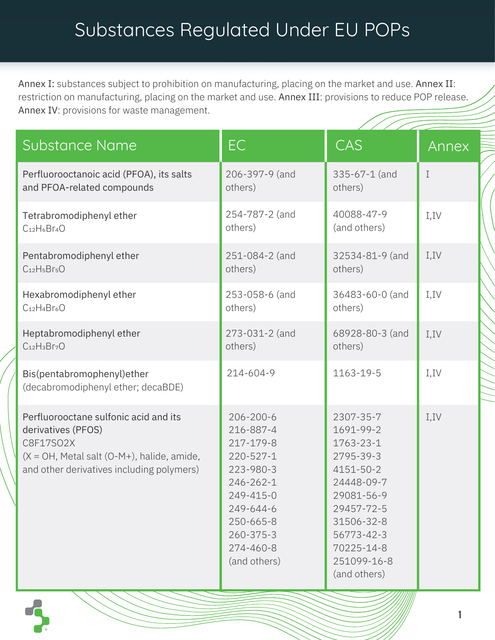## Substances Regulated Under EU POPs

Annex I: substances subject to prohibition on manufacturing, placing on the market and use. Annex II: restriction on manufacturing, placing on the market and use. Annex III: provisions to reduce POP release. Annex IV: provisions for waste management.

| Substance Name                                                                                                                                                        | EC                                                                                                                                                                | $\prime$ / / / / /<br><b>CAS</b>                                                                                                                                                 | Annex       |
|-----------------------------------------------------------------------------------------------------------------------------------------------------------------------|-------------------------------------------------------------------------------------------------------------------------------------------------------------------|----------------------------------------------------------------------------------------------------------------------------------------------------------------------------------|-------------|
| Perfluorooctanoic acid (PFOA), its salts                                                                                                                              | 206-397-9 (and                                                                                                                                                    | 335-67-1 (and                                                                                                                                                                    | $\mathbf I$ |
| and PFOA-related compounds                                                                                                                                            | others)                                                                                                                                                           | others)                                                                                                                                                                          |             |
| Tetrabromodiphenyl ether                                                                                                                                              | 254-787-2 (and                                                                                                                                                    | 40088-47-9                                                                                                                                                                       | I, IV       |
| $C_{12}H_6Br_4O$                                                                                                                                                      | others)                                                                                                                                                           | (and others)                                                                                                                                                                     |             |
| Pentabromodiphenyl ether                                                                                                                                              | 251-084-2 (and                                                                                                                                                    | 32534-81-9 (and                                                                                                                                                                  | I, IV       |
| $C12H5Br5O$                                                                                                                                                           | others)                                                                                                                                                           | others)                                                                                                                                                                          |             |
| Hexabromodiphenyl ether                                                                                                                                               | 253-058-6 (and                                                                                                                                                    | 36483-60-0 (and                                                                                                                                                                  | I, IV       |
| $C_{12}H_4Br_6O$                                                                                                                                                      | others)                                                                                                                                                           | others)                                                                                                                                                                          |             |
| Heptabromodiphenyl ether                                                                                                                                              | 273-031-2 (and                                                                                                                                                    | 68928-80-3 (and                                                                                                                                                                  | I, IV       |
| $C_{12}H_3Br_7O$                                                                                                                                                      | others)                                                                                                                                                           | others)                                                                                                                                                                          |             |
| Bis(pentabromophenyl)ether<br>(decabromodiphenyl ether; decaBDE)                                                                                                      | 214-604-9                                                                                                                                                         | 1163-19-5                                                                                                                                                                        | I, IV       |
| Perfluorooctane sulfonic acid and its<br>derivatives (PFOS)<br>C8F17SO2X<br>$(X = OH, Metal salt (O-M+), halide, amide,$<br>and other derivatives including polymers) | 206-200-6<br>216-887-4<br>217-179-8<br>220-527-1<br>223-980-3<br>246-262-1<br>249-415-0<br>249-644-6<br>250-665-8<br>$260 - 375 - 3$<br>274-460-8<br>(and others) | 2307-35-7<br>1691-99-2<br>1763-23-1<br>2795-39-3<br>4151-50-2<br>24448-09-7<br>29081-56-9<br>29457-72-5<br>31506-32-8<br>56773-42-3<br>70225-14-8<br>251099-16-8<br>(and others) | I, IV       |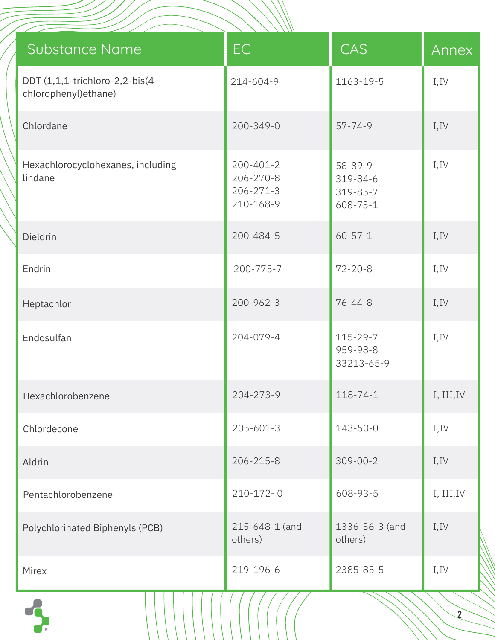|                                                          | $\sqrt{100}$                                           |                                             |                |
|----------------------------------------------------------|--------------------------------------------------------|---------------------------------------------|----------------|
| Substance Name                                           | EC                                                     | CAS                                         | Annex          |
| DDT (1,1,1-trichloro-2,2-bis(4-<br>chlorophenyl) ethane) | 214-604-9                                              | 1163-19-5                                   | I, IV          |
| Chlordane                                                | 200-349-0                                              | $57 - 74 - 9$                               | I, IV          |
| Hexachlorocyclohexanes, including<br>lindane             | 200-401-2<br>206-270-8<br>$206 - 271 - 3$<br>210-168-9 | 58-89-9<br>319-84-6<br>319-85-7<br>608-73-1 | I, IV          |
| Dieldrin                                                 | 200-484-5                                              | $60 - 57 - 1$                               | I,IV           |
| Endrin                                                   | 200-775-7                                              | $72 - 20 - 8$                               | I, IV          |
| Heptachlor                                               | $200 - 962 - 3$                                        | $76 - 44 - 8$                               | I, IV          |
| Endosulfan                                               | 204-079-4                                              | 115-29-7<br>959-98-8<br>33213-65-9          | I, IV          |
| Hexachlorobenzene                                        | 204-273-9                                              | $118 - 74 - 1$                              | I, III, IV     |
| Chlordecone                                              | $205 - 601 - 3$                                        | $143 - 50 - 0$                              | I, IV          |
| Aldrin                                                   | 206-215-8                                              | $309 - 00 - 2$                              | I, IV          |
| Pentachlorobenzene                                       | $210 - 172 - 0$                                        | 608-93-5                                    | I, III, IV     |
| Polychlorinated Biphenyls (PCB)                          | 215-648-1 (and<br>others)                              | 1336-36-3 (and<br>others)                   | I, IV          |
| Mirex                                                    | 219-196-6                                              | 2385-85-5                                   | I, IV          |
|                                                          |                                                        |                                             | $\overline{2}$ |